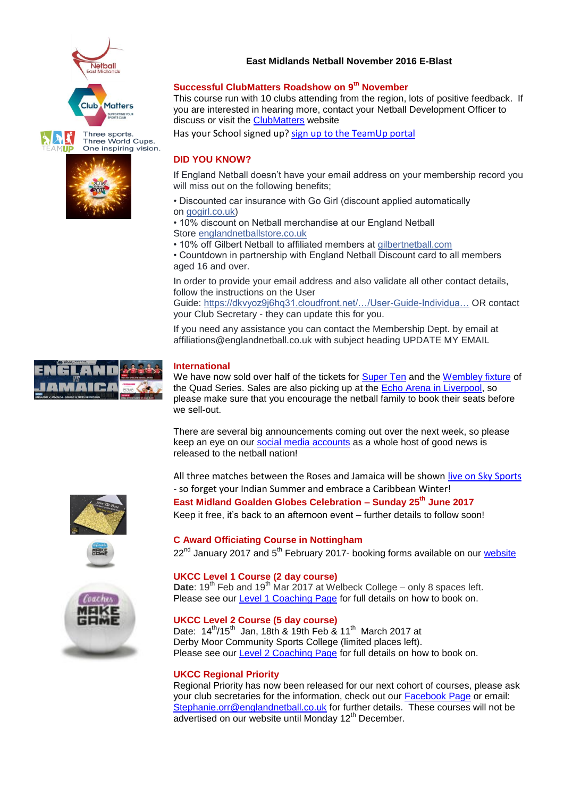





### **East Midlands Netball November 2016 E-Blast**

### **Successful ClubMatters Roadshow on 9th November**

This course run with 10 clubs attending from the region, lots of positive feedback. If you are interested in hearing more, contact your Netball Development Officer to discuss or visit the [ClubMatters](http://www.sportenglandclubmatters.com/) website

Has your School signed up? [sign up to the TeamUp portal](https://www.teamupengland.com/)

## **DID YOU KNOW?**

If England Netball doesn't have your email address on your membership record you will miss out on the following benefits;

- Discounted car insurance with Go Girl (discount applied automatically on [gogirl.co.uk\)](http://l.facebook.com/l.php?u=http%3A%2F%2Fgogirl.co.uk%2F&h=bAQGvJdjCAQEZYVeHeU5SmJtGGeTcz-UFMVZJ_Ze90Kl3Ow&enc=AZN9DIZfDILwUJivCmyjl7X6QDF79WeKAMn4FZmaehuryoP44Wqsh2nXlxr_UYo1rqLcL8uZzGJVzwMsIf06fBm2bp6Qjs06yFcOoUrsDzWFKrjMg6XUgr5_NkyK2UQmxO_Vu2WBkpCNGZWU1-MgIz4N9UZKlnWGtVXqCQqaQDTyKJ49XzVYE69EEE0C1IStQR63q6zD4qoHDddRSlmyPJV6&s=1)
- 10% discount on Netball merchandise at our England Netball Store [englandnetballstore.co.uk](http://l.facebook.com/l.php?u=http%3A%2F%2Fenglandnetballstore.co.uk%2F&h=OAQHB9_KaAQEoRimNudQpx5aCVdk0UFhPMikz7SNr4oDyig&enc=AZNaAsOVwPOoL16KE026VUFRSJIsHa-BJeRzULoL2Zerfah9AQfXI4cPR3x7rIut6_r0FAfKOAbPujqmLjnDT3A9ksGXaC_EzN4jDPNjM48qjvi0e6w96CoV8z9HTnBGqOEZ1rqL5TK8SsOJnTJ_EPFCs7b9NlGSavKtBSf77jDSPCl66GFGoSRyVdS5xaEfnlXrvYAsAC33Upl9yI_mSBAk&s=1)
- 10% off Gilbert Netball to affiliated members at [gilbertnetball.com](http://gilbertnetball.com/)

• Countdown in partnership with England Netball Discount card to all members aged 16 and over.

In order to provide your email address and also validate all other contact details, follow the instructions on the User Guide: [https://dkvyoz9j6hq31.cloudfront.net/…/User-Guide-Individua…](https://dkvyoz9j6hq31.cloudfront.net/app/uploads/2016/07/User-Guide-Individual-Contact-Details-Membership-Cards.pdf) OR contact your Club Secretary - they can update this for you.

If you need any assistance you can contact the Membership Dept. by email at affiliations@englandnetball.co.uk with subject heading UPDATE MY EMAIL

## **International**

We have now sold over half of the tickets for [Super Ten](http://tickets.sky.com/netball/Vitality-Netball-Superleague-Super-Ten) and the [Wembley fixture](http://tickets.sky.com/seats/England-Roses-v-Australian-Diamonds-5-February) of the Quad Series. Sales are also picking up at the [Echo Arena in Liverpool,](http://tickets.sky.com/seats/England-Roses-v-New-Zealand-Silver-Ferns-2-February) so please make sure that you encourage the netball family to book their seats before we sell-out.

There are several big announcements coming out over the next week, so please keep an eye on our [social media accounts](https://twitter.com/England_Netball) as a whole host of good news is released to the netball nation!

All three matches between the Roses and Jamaica will be show[n live on Sky Sports](http://www.skysports.com/watch/netball-on-sky) - so forget your Indian Summer and embrace a Caribbean Winter!







# **East Midland Goalden Globes Celebration – Sunday 25th June 2017** Keep it free, it's back to an afternoon event – further details to follow soon!

### **C Award Officiating Course in Nottingham**

 $22<sup>nd</sup>$  January 2017 and  $5<sup>th</sup>$  February 2017- booking forms available on our [website](http://www.eastmidlandsnetball.co.uk/off-c-award.html)

### **UKCC Level 1 Course (2 day course)**

Date: 19<sup>th</sup> Feb and 19<sup>th</sup> Mar 2017 at Welbeck College – only 8 spaces left. Please see our [Level 1 Coaching Page](http://www.eastmidlandsnetball.co.uk/ukcc-level-1.html) for full details on how to book on.

#### **UKCC Level 2 Course (5 day course)**

Date:  $14^{th}/15^{th}$  Jan, 18th & 19th Feb & 11<sup>th</sup> March 2017 at Derby Moor Community Sports College (limited places left). Please see our [Level 2 Coaching Page](http://www.eastmidlandsnetball.co.uk/ukcc-level-2.html) for full details on how to book on.

#### **UKCC Regional Priority**

Regional Priority has now been released for our next cohort of courses, please ask your club secretaries for the information, check out our [Facebook Page](https://www.facebook.com/EastMidlandsNetball/) or email: [Stephanie.orr@englandnetball.co.uk](mailto:Stephanie.orr@englandnetball.co.uk) for further details. These courses will not be advertised on our website until Monday 12<sup>th</sup> December.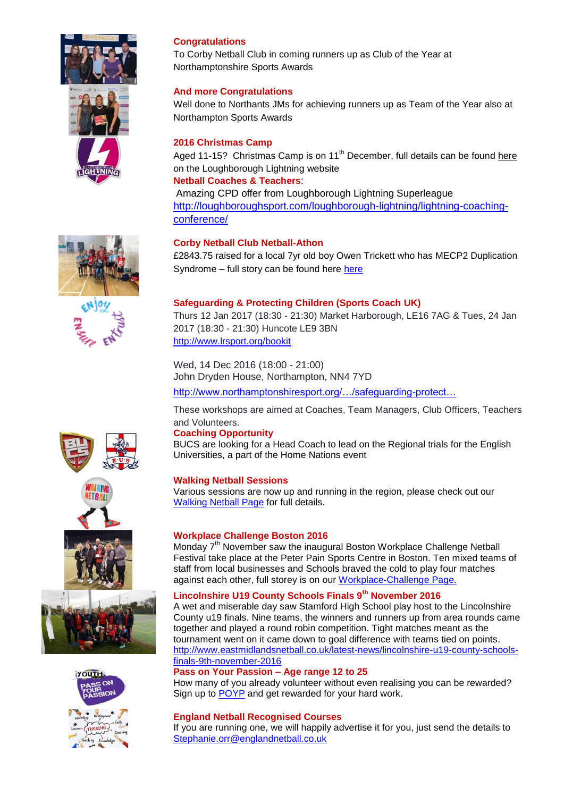

## **Congratulations**

To Corby Netball Club in coming runners up as Club of the Year at Northamptonshire Sports Awards

## **And more Congratulations**

Well done to Northants JMs for achieving runners up as Team of the Year also at Northampton Sports Awards

## **2016 Christmas Camp**

Aged 11-15? Christmas Camp is on  $11<sup>th</sup>$  December, full details can be found [here](http://loughboroughsport.com/loughborough-lightning/christmas-camp/) on the Loughborough Lightning website

## **Netball Coaches & Teachers**:

Amazing CPD offer from Loughborough Lightning Superleague [http://loughboroughsport.com/loughborough-lightning/lightning-coaching](http://loughboroughsport.com/loughborough-lightning/lightning-coaching-conference/)[conference/](http://loughboroughsport.com/loughborough-lightning/lightning-coaching-conference/)





## **Corby Netball Club Netball-Athon**

£2843.75 raised for a local 7yr old boy Owen Trickett who has MECP2 Duplication Syndrome – full story can be found here [here](http://www.eastmidlandsnetball.co.uk/fundraising-events.html)

## **Safeguarding & Protecting Children (Sports Coach UK)**

Thurs 12 Jan 2017 (18:30 - 21:30) Market Harborough, LE16 7AG & Tues, 24 Jan 2017 (18:30 - 21:30) Huncote LE9 3BN <http://www.lrsport.org/bookit>

Wed, 14 Dec 2016 (18:00 - 21:00) John Dryden House, Northampton, NN4 7YD

[http://www.northamptonshiresport.org/…/safeguarding-protect…](http://www.northamptonshiresport.org/events/2016/12/safeguarding-protecting-children-sports-coach-uk22)

These workshops are aimed at Coaches, Team Managers, Club Officers, Teachers and Volunteers.

### **Coaching Opportunity**

BUCS are looking for a Head Coach to lead on the Regional trials for the English Universities, a part of the Home Nations event

### **Walking Netball Sessions**

Various sessions are now up and running in the region, please check out our [Walking Netball Page](http://www.eastmidlandsnetball.co.uk/walking-netball.html) for full details.

## **Workplace Challenge Boston 2016**

Monday 7<sup>th</sup> November saw the inaugural Boston Workplace Challenge Netball Festival take place at the Peter Pain Sports Centre in Boston. Ten mixed teams of staff from local businesses and Schools braved the cold to play four matches against each other, full storey is on our [Workplace-Challenge Page.](http://www.eastmidlandsnetball.co.uk/workplace-challenge.html)

## **Lincolnshire U19 County Schools Finals 9th November 2016**

A wet and miserable day saw Stamford High School play host to the Lincolnshire County u19 finals. Nine teams, the winners and runners up from area rounds came together and played a round robin competition. Tight matches meant as the tournament went on it came down to goal difference with teams tied on points. [http://www.eastmidlandsnetball.co.uk/latest-news/lincolnshire-u19-county-schools](http://www.eastmidlandsnetball.co.uk/latest-news/lincolnshire-u19-county-schools-finals-9th-november-2016)[finals-9th-november-2016](http://www.eastmidlandsnetball.co.uk/latest-news/lincolnshire-u19-county-schools-finals-9th-november-2016)

### **Pass on Your Passion – Age range 12 to 25**

How many of you already volunteer without even realising you can be rewarded? Sign up to [POYP](https://www.englandnetball.co.uk/make-the-game/volunteers/pass-on-your-passion/) and get rewarded for your hard work.

### **England Netball Recognised Courses**

If you are running one, we will happily advertise it for you, just send the details to [Stephanie.orr@englandnetball.co.uk](mailto:Stephanie.orr@englandnetball.co.uk)